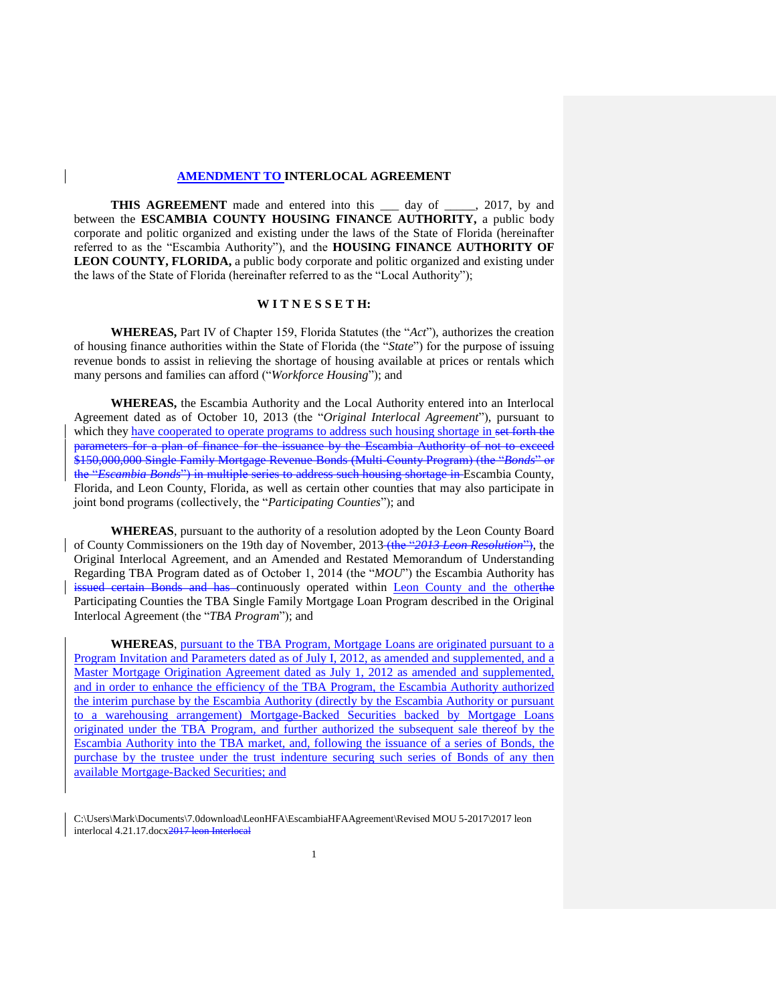#### **AMENDMENT TO INTERLOCAL AGREEMENT**

**THIS AGREEMENT** made and entered into this \_\_\_ day of \_\_\_\_\_, 2017, by and between the **ESCAMBIA COUNTY HOUSING FINANCE AUTHORITY,** a public body corporate and politic organized and existing under the laws of the State of Florida (hereinafter referred to as the "Escambia Authority"), and the **HOUSING FINANCE AUTHORITY OF LEON COUNTY, FLORIDA,** a public body corporate and politic organized and existing under the laws of the State of Florida (hereinafter referred to as the "Local Authority");

#### **W I T N E S S E T H:**

**WHEREAS,** Part IV of Chapter 159, Florida Statutes (the "*Act*"), authorizes the creation of housing finance authorities within the State of Florida (the "*State*") for the purpose of issuing revenue bonds to assist in relieving the shortage of housing available at prices or rentals which many persons and families can afford ("*Workforce Housing*"); and

**WHEREAS,** the Escambia Authority and the Local Authority entered into an Interlocal Agreement dated as of October 10, 2013 (the "*Original Interlocal Agreement*"), pursuant to which they have cooperated to operate programs to address such housing shortage in set forth the parameters for a plan of finance for the issuance by the Escambia Authority of not to exceed \$150,000,000 Single Family Mortgage Revenue Bonds (Multi-County Program) (the "*Bonds*" or the "*Escambia Bonds*") in multiple series to address such housing shortage in Escambia County, Florida, and Leon County, Florida, as well as certain other counties that may also participate in joint bond programs (collectively, the "*Participating Counties*"); and

**WHEREAS**, pursuant to the authority of a resolution adopted by the Leon County Board of County Commissioners on the 19th day of November, 2013 (the "*2013 Leon Resolution*"), the Original Interlocal Agreement, and an Amended and Restated Memorandum of Understanding Regarding TBA Program dated as of October 1, 2014 (the "*MOU*") the Escambia Authority has issued certain Bonds and has continuously operated within Leon County and the otherthe Participating Counties the TBA Single Family Mortgage Loan Program described in the Original Interlocal Agreement (the "*TBA Program*"); and

**WHEREAS**, pursuant to the TBA Program, Mortgage Loans are originated pursuant to a Program Invitation and Parameters dated as of July I, 2012, as amended and supplemented, and a Master Mortgage Origination Agreement dated as July 1, 2012 as amended and supplemented, and in order to enhance the efficiency of the TBA Program, the Escambia Authority authorized the interim purchase by the Escambia Authority (directly by the Escambia Authority or pursuant to a warehousing arrangement) Mortgage-Backed Securities backed by Mortgage Loans originated under the TBA Program, and further authorized the subsequent sale thereof by the Escambia Authority into the TBA market, and, following the issuance of a series of Bonds, the purchase by the trustee under the trust indenture securing such series of Bonds of any then available Mortgage-Backed Securities; and

C:\Users\Mark\Documents\7.0download\LeonHFA\EscambiaHFAAgreement\Revised MOU 5-2017\2017 leon interlocal  $4.21.17$ .docx $2017$  le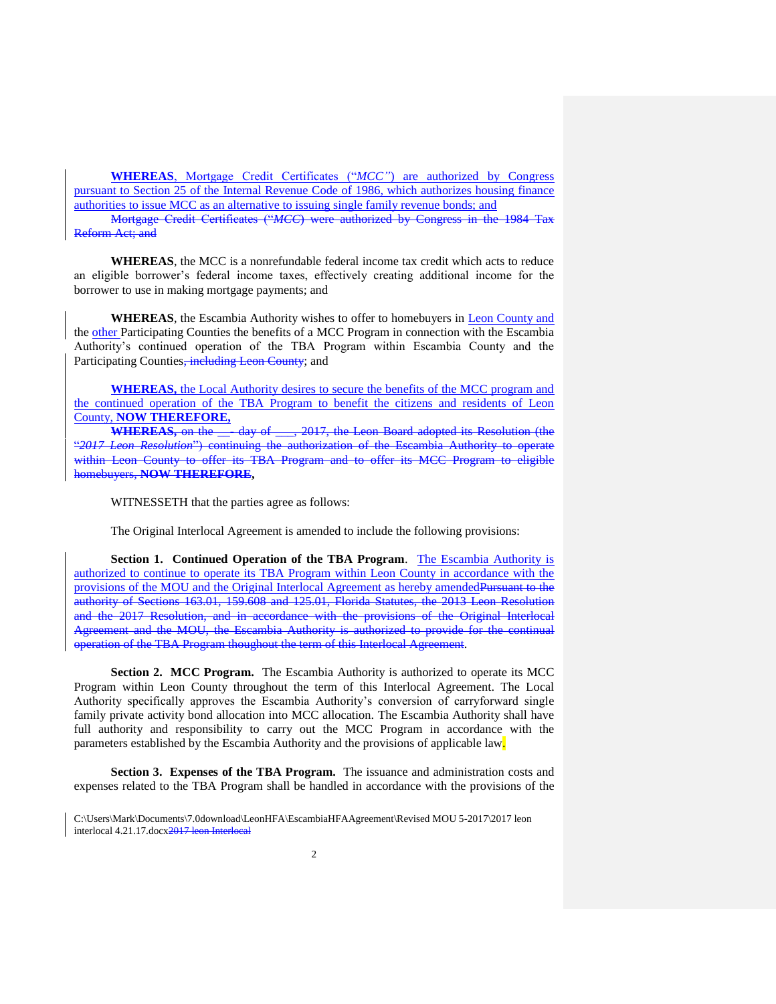**WHEREAS**, Mortgage Credit Certificates ("*MCC"*) are authorized by Congress pursuant to Section 25 of the Internal Revenue Code of 1986, which authorizes housing finance authorities to issue MCC as an alternative to issuing single family revenue bonds; and

Mortgage Credit Certificates ("*MCC*) were authorized by Congress in the 1984 Tax Reform Act; and

**WHEREAS**, the MCC is a nonrefundable federal income tax credit which acts to reduce an eligible borrower's federal income taxes, effectively creating additional income for the borrower to use in making mortgage payments; and

**WHEREAS**, the Escambia Authority wishes to offer to homebuyers in Leon County and the other Participating Counties the benefits of a MCC Program in connection with the Escambia Authority's continued operation of the TBA Program within Escambia County and the Participating Counties, including Leon County; and

**WHEREAS,** the Local Authority desires to secure the benefits of the MCC program and the continued operation of the TBA Program to benefit the citizens and residents of Leon County, **NOW THEREFORE,**

**WHEREAS,** on the \_\_- day of \_\_\_, 2017, the Leon Board adopted its Resolution (the "*2017 Leon Resolution*") continuing the authorization of the Escambia Authority to operate within Leon County to offer its TBA Program and to offer its MCC Program to eligible homebuyers, **NOW THEREFORE,**

WITNESSETH that the parties agree as follows:

The Original Interlocal Agreement is amended to include the following provisions:

**Section 1. Continued Operation of the TBA Program**. The Escambia Authority is authorized to continue to operate its TBA Program within Leon County in accordance with the provisions of the MOU and the Original Interlocal Agreement as hereby amended Pursuant to the authority of Sections 163.01, 159.608 and 125.01, Florida Statutes, the 2013 Leon Resolution and the 2017 Resolution, and in accordance with the provisions of the Original Interlocal Agreement and the MOU, the Escambia Authority is authorized to provide for the continual operation of the TBA Program thoughout the term of this Interlocal Agreement.

**Section 2. MCC Program.** The Escambia Authority is authorized to operate its MCC Program within Leon County throughout the term of this Interlocal Agreement. The Local Authority specifically approves the Escambia Authority's conversion of carryforward single family private activity bond allocation into MCC allocation. The Escambia Authority shall have full authority and responsibility to carry out the MCC Program in accordance with the parameters established by the Escambia Authority and the provisions of applicable law.

**Section 3. Expenses of the TBA Program.** The issuance and administration costs and expenses related to the TBA Program shall be handled in accordance with the provisions of the

C:\Users\Mark\Documents\7.0download\LeonHFA\EscambiaHFAAgreement\Revised MOU 5-2017\2017 leon interlocal  $4.21.17$ .docx $2017$  le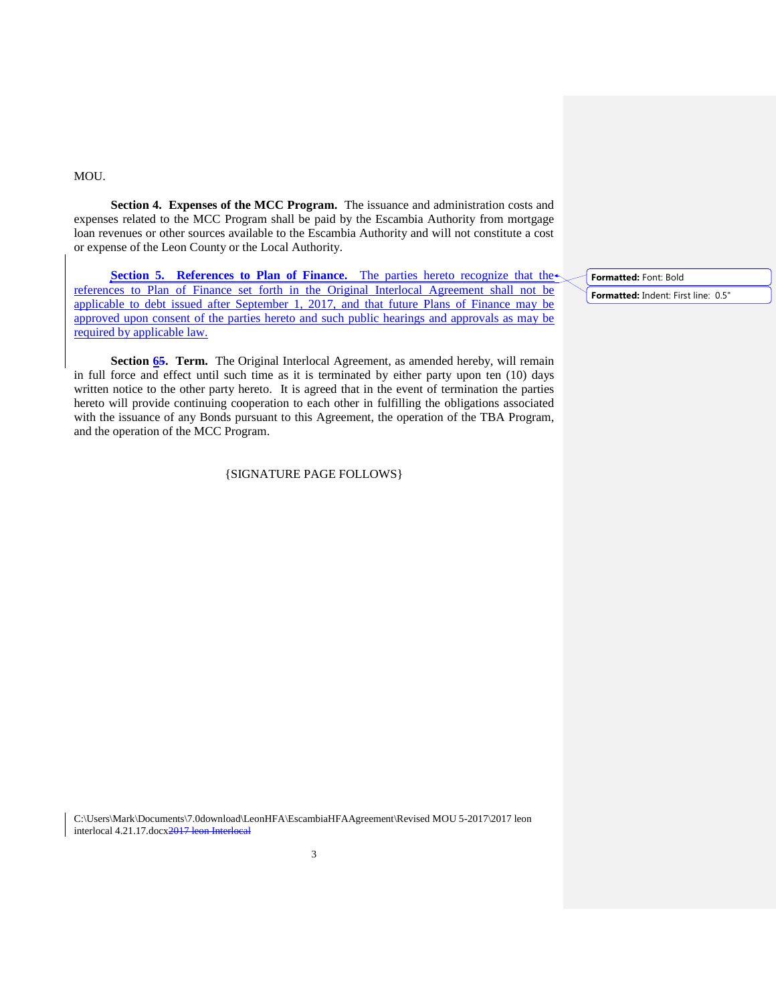#### MOU.

**Section 4. Expenses of the MCC Program.** The issuance and administration costs and expenses related to the MCC Program shall be paid by the Escambia Authority from mortgage loan revenues or other sources available to the Escambia Authority and will not constitute a cost or expense of the Leon County or the Local Authority.

**Section 5. References to Plan of Finance.** The parties hereto recognize that the references to Plan of Finance set forth in the Original Interlocal Agreement shall not be applicable to debt issued after September 1, 2017, and that future Plans of Finance may be approved upon consent of the parties hereto and such public hearings and approvals as may be required by applicable law.

**Section 65. Term.** The Original Interlocal Agreement, as amended hereby, will remain in full force and effect until such time as it is terminated by either party upon ten (10) days written notice to the other party hereto. It is agreed that in the event of termination the parties hereto will provide continuing cooperation to each other in fulfilling the obligations associated with the issuance of any Bonds pursuant to this Agreement, the operation of the TBA Program, and the operation of the MCC Program.

### {SIGNATURE PAGE FOLLOWS}

**Formatted:** Font: Bold

**Formatted:** Indent: First line: 0.5"

C:\Users\Mark\Documents\7.0download\LeonHFA\EscambiaHFAAgreement\Revised MOU 5-2017\2017 leon interlocal  $4.21.17$ .docx $2017$  le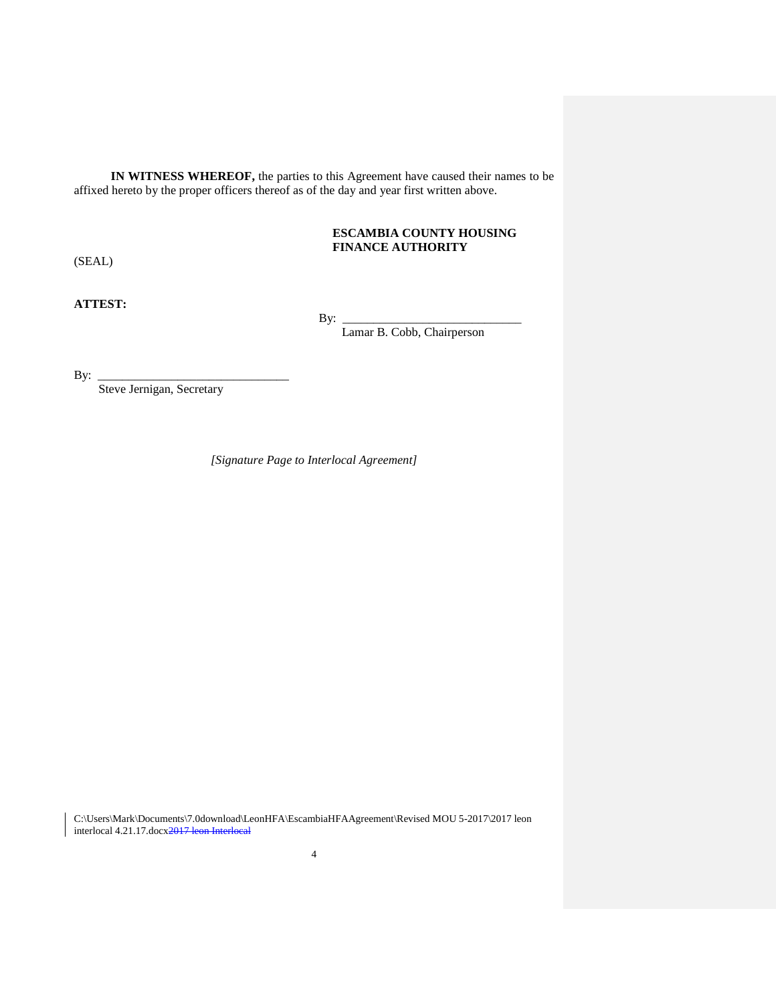**IN WITNESS WHEREOF,** the parties to this Agreement have caused their names to be affixed hereto by the proper officers thereof as of the day and year first written above.

# **ESCAMBIA COUNTY HOUSING FINANCE AUTHORITY**

(SEAL)

**ATTEST:**

 $By:$ 

Lamar B. Cobb, Chairperson

By: \_\_\_\_\_\_\_\_\_\_\_\_\_\_\_\_\_\_\_\_\_\_\_\_\_\_\_\_\_\_\_

Steve Jernigan, Secretary

*[Signature Page to Interlocal Agreement]*

C:\Users\Mark\Documents\7.0download\LeonHFA\EscambiaHFAAgreement\Revised MOU 5-2017\2017 leon interlocal 4.21.17.docx<del>2017 leon Interlocal</del>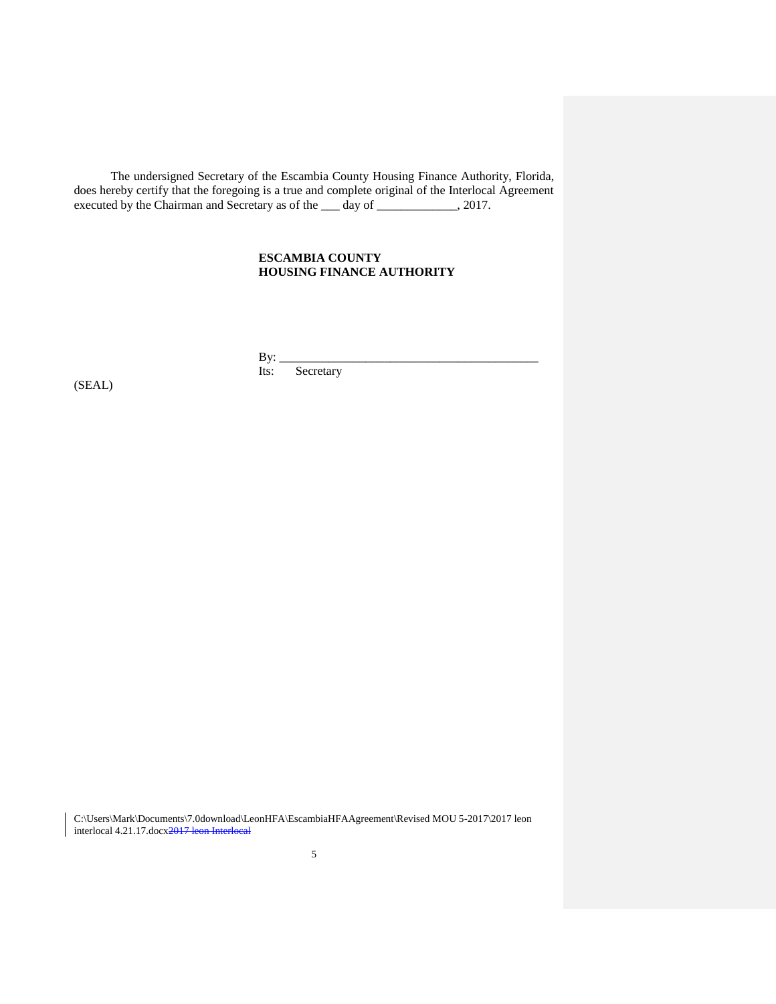The undersigned Secretary of the Escambia County Housing Finance Authority, Florida, does hereby certify that the foregoing is a true and complete original of the Interlocal Agreement executed by the Chairman and Secretary as of the <u>sectace</u> day of <u>section and</u> 2017.

# **ESCAMBIA COUNTY HOUSING FINANCE AUTHORITY**

By: \_\_\_\_\_\_\_\_\_\_\_\_\_\_\_\_\_\_\_\_\_\_\_\_\_\_\_\_\_\_\_\_\_\_\_\_\_\_\_\_\_\_ Its: Secretary

(SEAL)

C:\Users\Mark\Documents\7.0download\LeonHFA\EscambiaHFAAgreement\Revised MOU 5-2017\2017 leon interlocal 4.21.17.docx<del>2017 leon Interlocal</del>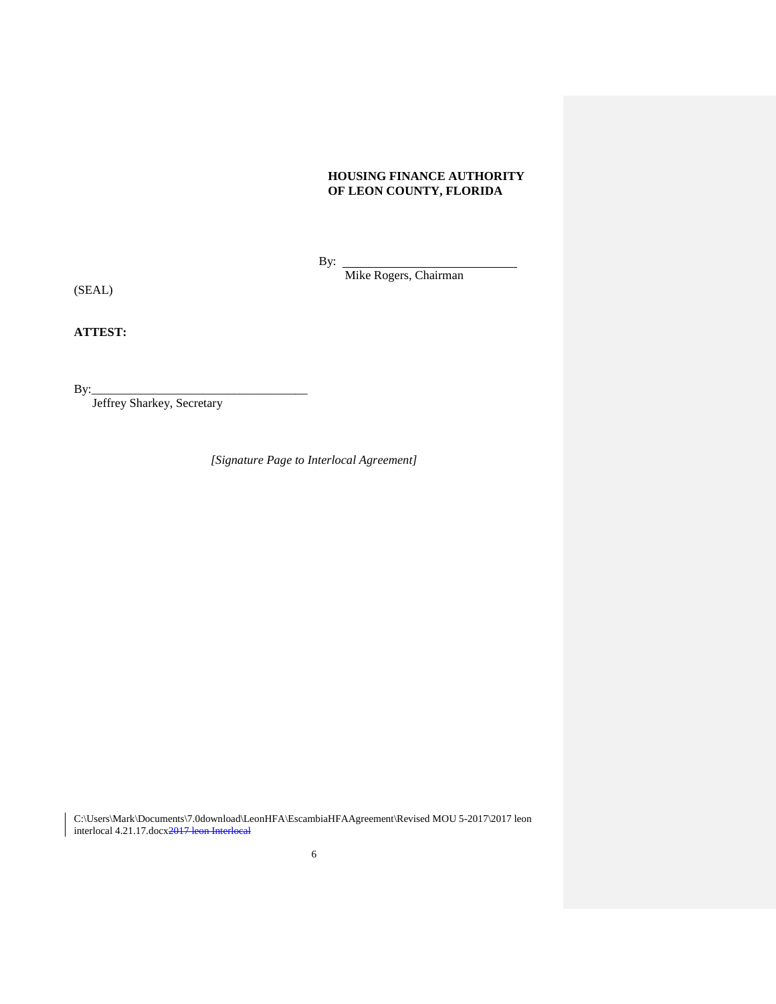# **HOUSING FINANCE AUTHORITY OF LEON COUNTY, FLORIDA**

By:

Mike Rogers, Chairman

(SEAL)

**ATTEST:**

By:\_\_\_\_\_\_\_\_\_\_\_\_\_\_\_\_\_\_\_\_\_\_\_\_\_\_\_\_\_\_\_\_\_\_\_

Jeffrey Sharkey, Secretary

*[Signature Page to Interlocal Agreement]*

C:\Users\Mark\Documents\7.0download\LeonHFA\EscambiaHFAAgreement\Revised MOU 5-2017\2017 leon interlocal 4.21.17.docx<del>2017 leon Interlocal</del>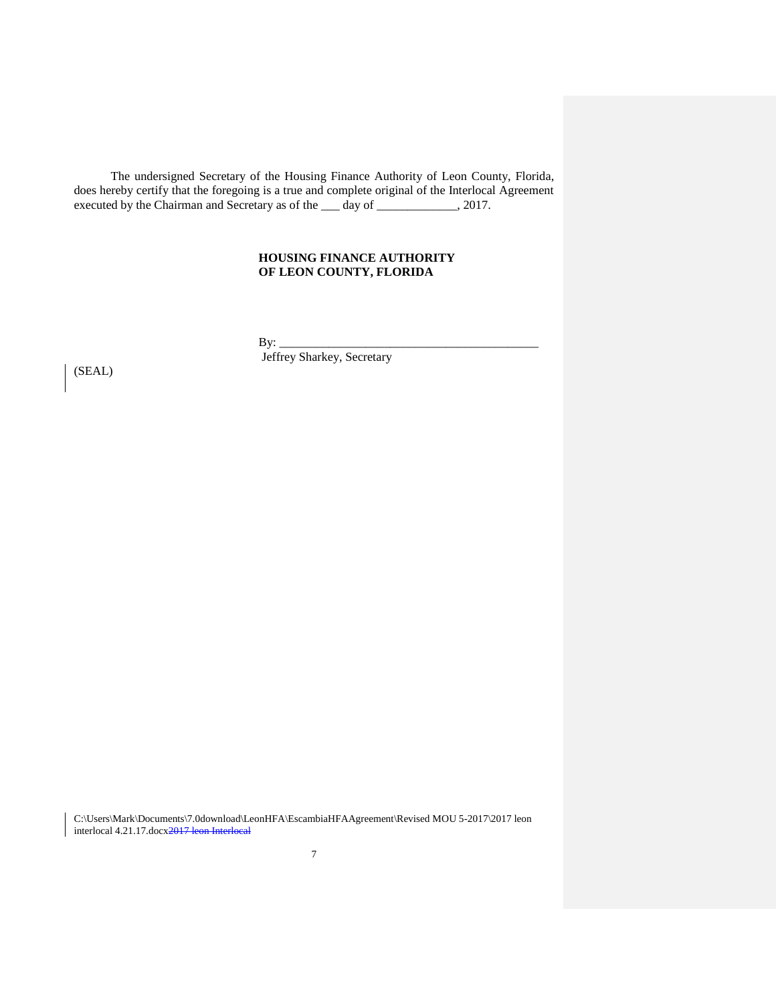The undersigned Secretary of the Housing Finance Authority of Leon County, Florida, does hereby certify that the foregoing is a true and complete original of the Interlocal Agreement executed by the Chairman and Secretary as of the <u>secretary</u> day of \_\_\_\_\_\_\_\_\_\_\_\_, 2017.

# **HOUSING FINANCE AUTHORITY OF LEON COUNTY, FLORIDA**

 $By:$ 

Jeffrey Sharkey, Secretary

(SEAL)

C:\Users\Mark\Documents\7.0download\LeonHFA\EscambiaHFAAgreement\Revised MOU 5-2017\2017 leon interlocal 4.21.17.docx2017 leon Interlocal